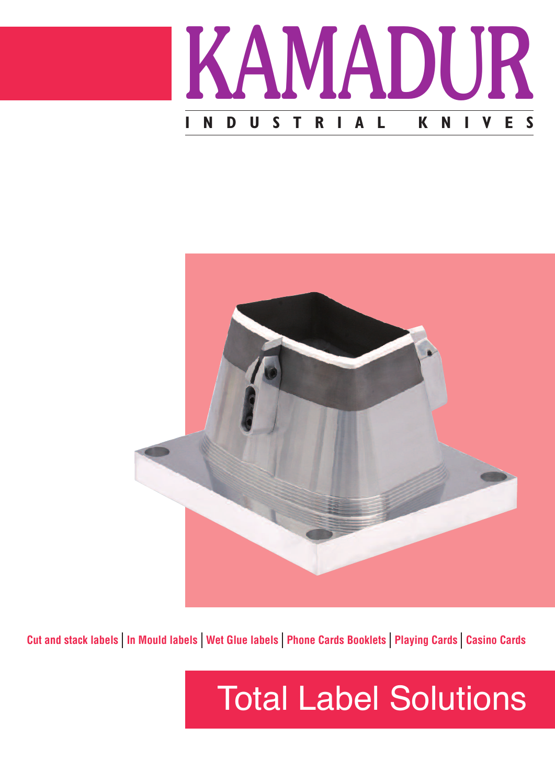



Cut and stack labels | In Mould labels | Wet Glue labels | Phone Cards Booklets | Playing Cards | Casino Cards

# Total Label Solutions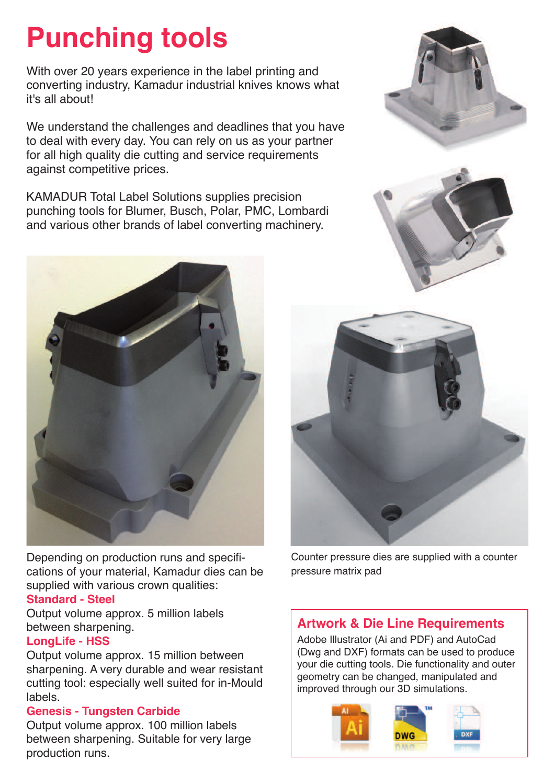### **Punching tools**

With over 20 years experience in the label printing and converting industry, Kamadur industrial knives knows what it's all about!

We understand the challenges and deadlines that you have to deal with every day. You can rely on us as your partner for all high quality die cutting and service requirements against competitive prices.

KAMADUR Total Label Solutions supplies precision punching tools for Blumer, Busch, Polar, PMC, Lombardi and various other brands of label converting machinery.







Depending on production runs and specifications of your material, Kamadur dies can be supplied with various crown qualities:

#### **Standard - Steel**

Output volume approx. 5 million labels between sharpening.

#### **LongLife - HSS**

Output volume approx. 15 million between sharpening. A very durable and wear resistant cutting tool: especially well suited for in-Mould labels.

#### **Genesis - Tungsten Carbide**

Output volume approx. 100 million labels between sharpening. Suitable for very large production runs.



Counter pressure dies are supplied with a counter pressure matrix pad

### **Artwork & Die Line Requirements**

Adobe Illustrator (Ai and PDF) and AutoCad (Dwg and DXF) formats can be used to produce your die cutting tools. Die functionality and outer geometry can be changed, manipulated and improved through our 3D simulations.

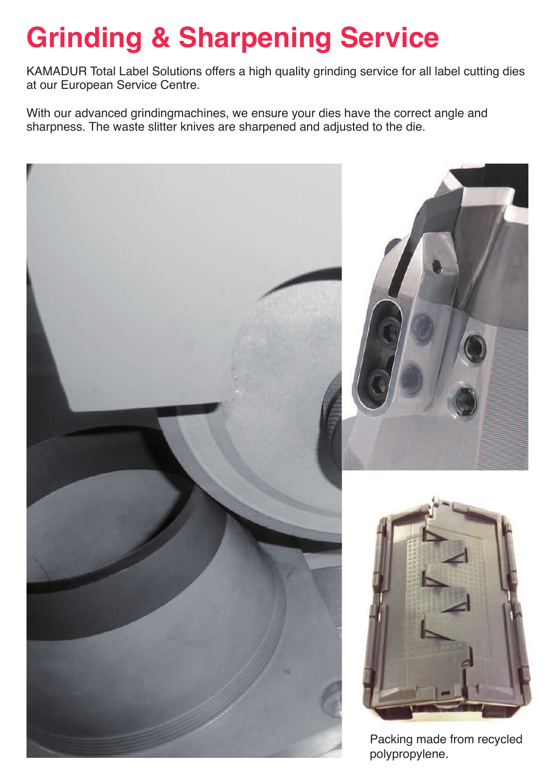## **Grinding & Sharpening Service**

KAMADUR Total Label Solutions offers a high quality grinding service for all label cutting dies at our European Service Centre.

With our advanced grindingmachines, we ensure your dies have the correct angle and sharpness. The waste slitter knives are sharpened and adjusted to the die.